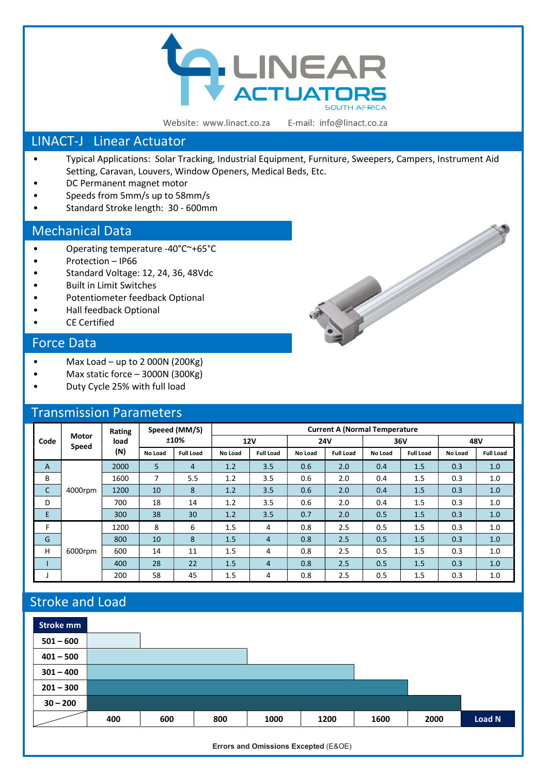

Website: www.linact.co.za

E-mail: info@linact.co.za

#### LINACT-J Linear Actuator

- Typical Applications: Solar Tracking, Industrial Equipment, Furniture, Sweepers, Campers, Instrument Aid Setting, Caravan, Louvers, Window Openers, Medical Beds, Etc.
- DC Permanent magnet motor
- Speeds from 5mm/s up to 58mm/s
- Standard Stroke length: 30 600mm

#### Mechanical Data

- Operating temperature -40°C~+65°C
- Protection IP66
- Standard Voltage: 12, 24, 36, 48Vdc
- Built in Limit Switches
- Potentiometer feedback Optional
- Hall feedback Optional
- CE Certified

### Force Data

- Max Load up to 2 000N (200Kg)
- Max static force  $-$  3000N (300Kg)
- Duty Cycle 25% with full load

#### Transmission Parameters

| Code | <b>Motor</b><br><b>Speed</b> | Rating<br>load<br>(N) | Speeed (MM/S)<br>±10% |                  | <b>Current A (Normal Temperature</b> |                  |            |                  |         |                  |         |                  |
|------|------------------------------|-----------------------|-----------------------|------------------|--------------------------------------|------------------|------------|------------------|---------|------------------|---------|------------------|
|      |                              |                       |                       |                  | <b>12V</b>                           |                  | <b>24V</b> |                  | 36V     |                  | 48V     |                  |
|      |                              |                       | No Load               | <b>Full Load</b> | No Load                              | <b>Full Load</b> | No Load    | <b>Full Load</b> | No Load | <b>Full Load</b> | No Load | <b>Full Load</b> |
| A    | 4000rpm                      | 2000                  | 5                     | $\overline{4}$   | 1.2                                  | 3.5              | 0.6        | 2.0              | 0.4     | 1.5              | 0.3     | 1.0              |
| В    |                              | 1600                  | 7                     | 5.5              | 1.2                                  | 3.5              | 0.6        | 2.0              | 0.4     | 1.5              | 0.3     | 1.0              |
| C    |                              | 1200                  | 10                    | 8                | 1.2                                  | 3.5              | 0.6        | 2.0              | 0.4     | 1.5              | 0.3     | 1.0              |
| D    |                              | 700                   | 18                    | 14               | 1.2                                  | 3.5              | 0.6        | 2.0              | 0.4     | 1.5              | 0.3     | 1.0              |
| E    |                              | 300                   | 38                    | 30               | 1.2                                  | 3.5              | 0.7        | 2.0              | 0.5     | 1.5              | 0.3     | 1.0              |
| F    | 6000rpm                      | 1200                  | 8                     | 6                | 1.5                                  | 4                | 0.8        | 2.5              | 0.5     | 1.5              | 0.3     | 1.0              |
| G    |                              | 800                   | 10                    | 8                | 1.5                                  | $\overline{4}$   | 0.8        | 2.5              | 0.5     | 1.5              | 0.3     | 1.0              |
| H    |                              | 600                   | 14                    | 11               | 1.5                                  | 4                | 0.8        | 2.5              | 0.5     | 1.5              | 0.3     | 1.0              |
|      |                              | 400                   | 28                    | 22               | 1.5                                  | $\overline{4}$   | 0.8        | 2.5              | 0.5     | 1.5              | 0.3     | 1.0              |
|      |                              | 200                   | 58                    | 45               | 1.5                                  | 4                | 0.8        | 2.5              | 0.5     | 1.5              | 0.3     | 1.0              |

## Stroke and Load



Errors and Omissions Excepted (E&OE)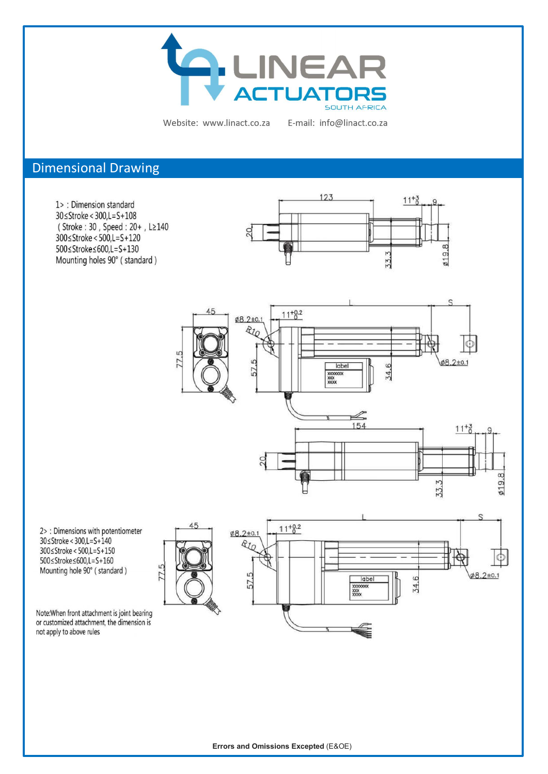

Website: www.linact.co.za

E-mail: info@linact.co.za

### Dimensional Drawing